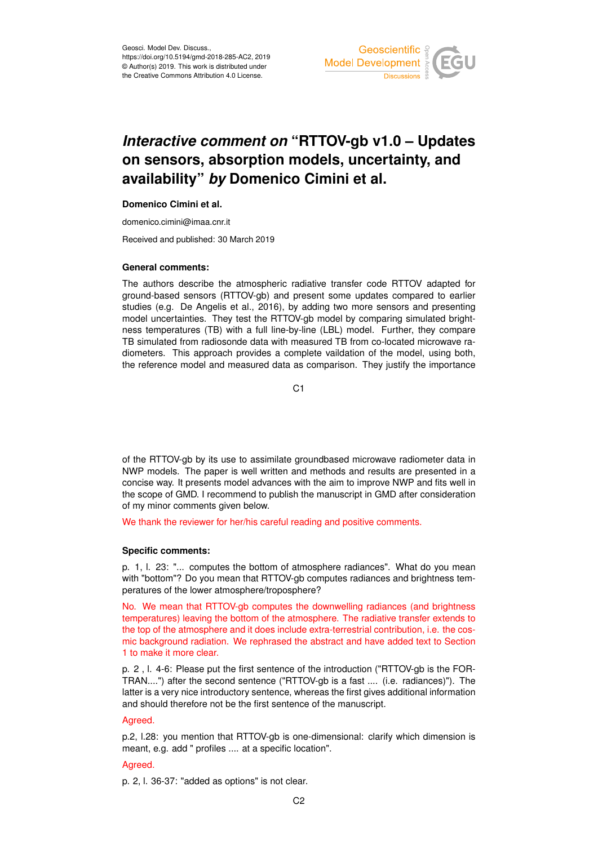

# *Interactive comment on* **"RTTOV-gb v1.0 – Updates on sensors, absorption models, uncertainty, and availability"** *by* **Domenico Cimini et al.**

# **Domenico Cimini et al.**

domenico.cimini@imaa.cnr.it

Received and published: 30 March 2019

## **General comments:**

The authors describe the atmospheric radiative transfer code RTTOV adapted for ground-based sensors (RTTOV-gb) and present some updates compared to earlier studies (e.g. De Angelis et al., 2016), by adding two more sensors and presenting model uncertainties. They test the RTTOV-gb model by comparing simulated brightness temperatures (TB) with a full line-by-line (LBL) model. Further, they compare TB simulated from radiosonde data with measured TB from co-located microwave radiometers. This approach provides a complete vaildation of the model, using both, the reference model and measured data as comparison. They justify the importance

C1

of the RTTOV-gb by its use to assimilate groundbased microwave radiometer data in NWP models. The paper is well written and methods and results are presented in a concise way. It presents model advances with the aim to improve NWP and fits well in the scope of GMD. I recommend to publish the manuscript in GMD after consideration of my minor comments given below.

We thank the reviewer for her/his careful reading and positive comments.

# **Specific comments:**

p. 1, l. 23: "... computes the bottom of atmosphere radiances". What do you mean with "bottom"? Do you mean that RTTOV-gb computes radiances and brightness temperatures of the lower atmosphere/troposphere?

No. We mean that RTTOV-gb computes the downwelling radiances (and brightness temperatures) leaving the bottom of the atmosphere. The radiative transfer extends to the top of the atmosphere and it does include extra-terrestrial contribution, i.e. the cosmic background radiation. We rephrased the abstract and have added text to Section 1 to make it more clear.

p. 2 , l. 4-6: Please put the first sentence of the introduction ("RTTOV-gb is the FOR-TRAN....") after the second sentence ("RTTOV-gb is a fast .... (i.e. radiances)"). The latter is a very nice introductory sentence, whereas the first gives additional information and should therefore not be the first sentence of the manuscript.

# Agreed.

p.2, l.28: you mention that RTTOV-gb is one-dimensional: clarify which dimension is meant, e.g. add " profiles .... at a specific location".

# Agreed.

p. 2, l. 36-37: "added as options" is not clear.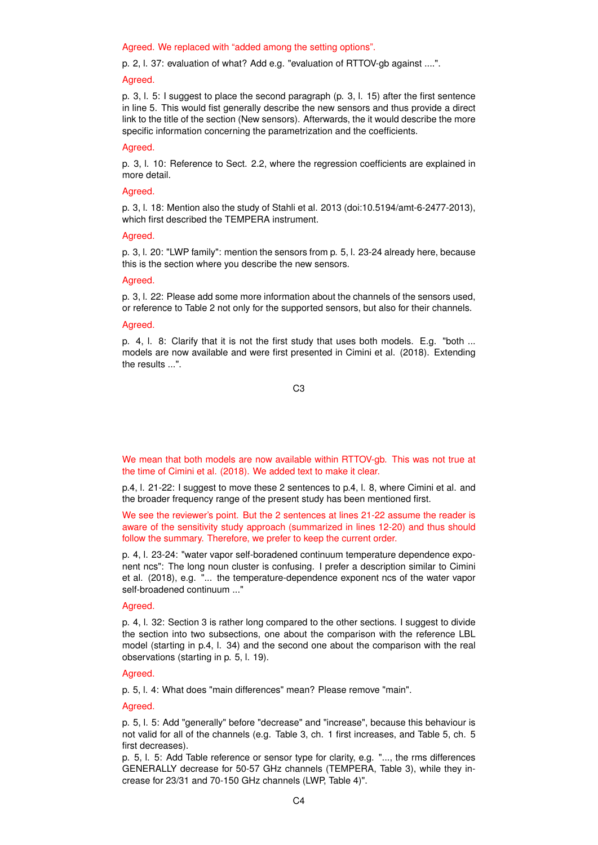Agreed. We replaced with "added among the setting options".

p. 2, l. 37: evaluation of what? Add e.g. "evaluation of RTTOV-gb against ....".

#### Agreed.

p. 3, l. 5: I suggest to place the second paragraph (p. 3, l. 15) after the first sentence in line 5. This would fist generally describe the new sensors and thus provide a direct link to the title of the section (New sensors). Afterwards, the it would describe the more specific information concerning the parametrization and the coefficients.

# Agreed.

p. 3, l. 10: Reference to Sect. 2.2, where the regression coefficients are explained in more detail.

# Agreed.

p. 3, l. 18: Mention also the study of Stahli et al. 2013 (doi:10.5194/amt-6-2477-2013), which first described the TEMPERA instrument.

## Agreed.

p. 3, l. 20: "LWP family": mention the sensors from p. 5, l. 23-24 already here, because this is the section where you describe the new sensors.

#### Agreed.

p. 3, l. 22: Please add some more information about the channels of the sensors used, or reference to Table 2 not only for the supported sensors, but also for their channels.

# Agreed.

p. 4, l. 8: Clarify that it is not the first study that uses both models. E.g. "both ... models are now available and were first presented in Cimini et al. (2018). Extending the results ...".

C3

We mean that both models are now available within RTTOV-gb. This was not true at the time of Cimini et al. (2018). We added text to make it clear.

p.4, l. 21-22: I suggest to move these 2 sentences to p.4, l. 8, where Cimini et al. and the broader frequency range of the present study has been mentioned first.

We see the reviewer's point. But the 2 sentences at lines 21-22 assume the reader is aware of the sensitivity study approach (summarized in lines 12-20) and thus should follow the summary. Therefore, we prefer to keep the current order.

p. 4, l. 23-24: "water vapor self-boradened continuum temperature dependence exponent ncs": The long noun cluster is confusing. I prefer a description similar to Cimini et al. (2018), e.g. "... the temperature-dependence exponent ncs of the water vapor self-broadened continuum ..."

# Agreed.

p. 4, l. 32: Section 3 is rather long compared to the other sections. I suggest to divide the section into two subsections, one about the comparison with the reference LBL model (starting in p.4, l. 34) and the second one about the comparison with the real observations (starting in p. 5, l. 19).

# Agreed.

p. 5, l. 4: What does "main differences" mean? Please remove "main".

## Agreed.

p. 5, l. 5: Add "generally" before "decrease" and "increase", because this behaviour is not valid for all of the channels (e.g. Table 3, ch. 1 first increases, and Table 5, ch. 5 first decreases).

p. 5, l. 5: Add Table reference or sensor type for clarity, e.g. "..., the rms differences GENERALLY decrease for 50-57 GHz channels (TEMPERA, Table 3), while they increase for 23/31 and 70-150 GHz channels (LWP, Table 4)".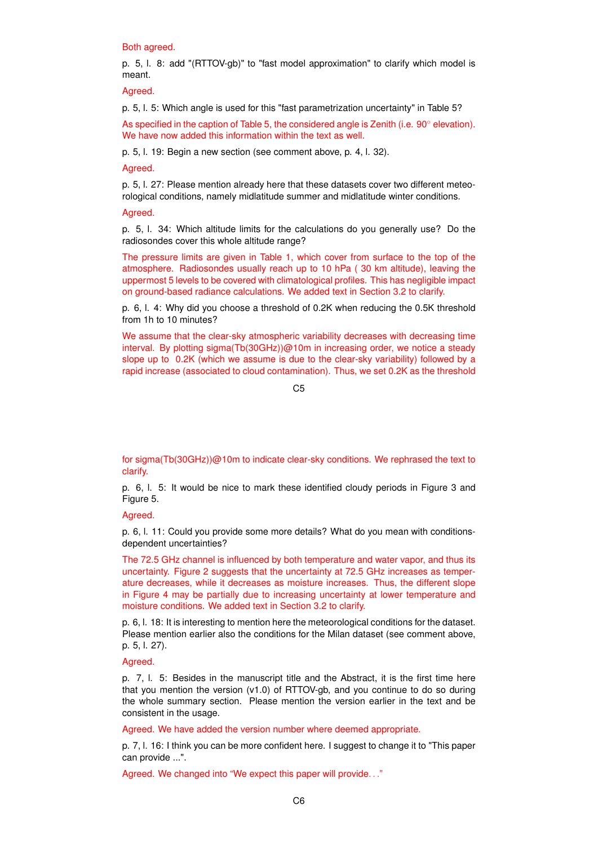### Both agreed.

p. 5, l. 8: add "(RTTOV-gb)" to "fast model approximation" to clarify which model is meant.

Agreed.

p. 5, l. 5: Which angle is used for this "fast parametrization uncertainty" in Table 5?

As specified in the caption of Table 5, the considered angle is Zenith (i.e. 90◦ elevation). We have now added this information within the text as well.

p. 5, l. 19: Begin a new section (see comment above, p. 4, l. 32).

Agreed.

p. 5, l. 27: Please mention already here that these datasets cover two different meteorological conditions, namely midlatitude summer and midlatitude winter conditions.

## Agreed.

p. 5, l. 34: Which altitude limits for the calculations do you generally use? Do the radiosondes cover this whole altitude range?

The pressure limits are given in Table 1, which cover from surface to the top of the atmosphere. Radiosondes usually reach up to 10 hPa ( 30 km altitude), leaving the uppermost 5 levels to be covered with climatological profiles. This has negligible impact on ground-based radiance calculations. We added text in Section 3.2 to clarify.

p. 6, l. 4: Why did you choose a threshold of 0.2K when reducing the 0.5K threshold from 1h to 10 minutes?

We assume that the clear-sky atmospheric variability decreases with decreasing time interval. By plotting sigma(Tb(30GHz))@10m in increasing order, we notice a steady slope up to 0.2K (which we assume is due to the clear-sky variability) followed by a rapid increase (associated to cloud contamination). Thus, we set 0.2K as the threshold

 $C<sub>5</sub>$ 

for sigma(Tb(30GHz))@10m to indicate clear-sky conditions. We rephrased the text to clarify.

p. 6, l. 5: It would be nice to mark these identified cloudy periods in Figure 3 and Figure 5.

## Agreed.

p. 6, l. 11: Could you provide some more details? What do you mean with conditionsdependent uncertainties?

The 72.5 GHz channel is influenced by both temperature and water vapor, and thus its uncertainty. Figure 2 suggests that the uncertainty at 72.5 GHz increases as temperature decreases, while it decreases as moisture increases. Thus, the different slope in Figure 4 may be partially due to increasing uncertainty at lower temperature and moisture conditions. We added text in Section 3.2 to clarify.

p. 6, l. 18: It is interesting to mention here the meteorological conditions for the dataset. Please mention earlier also the conditions for the Milan dataset (see comment above, p. 5, l. 27).

## Agreed.

p. 7, l. 5: Besides in the manuscript title and the Abstract, it is the first time here that you mention the version (v1.0) of RTTOV-gb, and you continue to do so during the whole summary section. Please mention the version earlier in the text and be consistent in the usage.

Agreed. We have added the version number where deemed appropriate.

p. 7, l. 16: I think you can be more confident here. I suggest to change it to "This paper can provide ...".

Agreed. We changed into "We expect this paper will provide. . ."